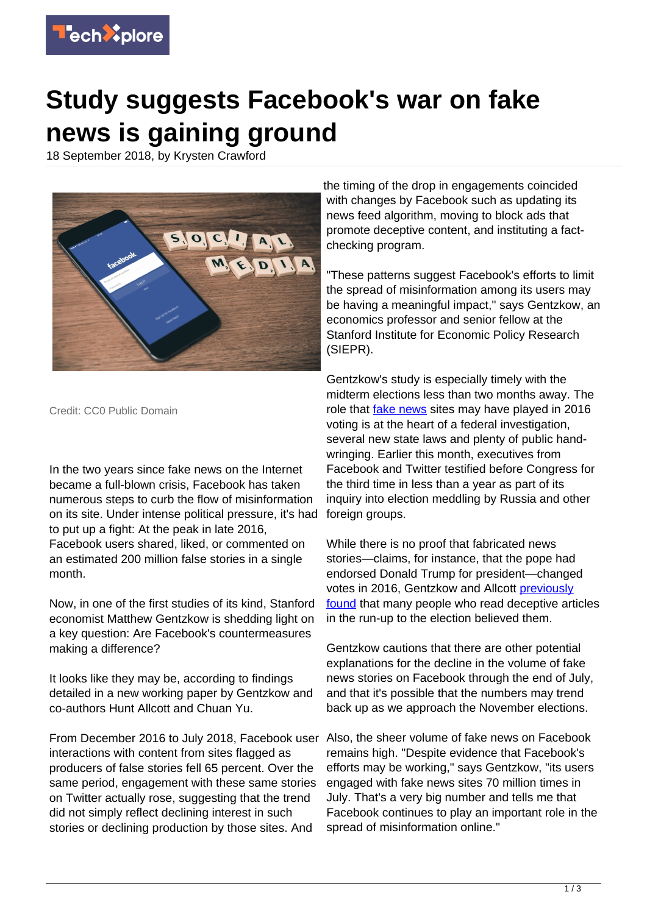

## **Study suggests Facebook's war on fake news is gaining ground**

18 September 2018, by Krysten Crawford



Credit: CC0 Public Domain

In the two years since fake news on the Internet became a full-blown crisis, Facebook has taken numerous steps to curb the flow of misinformation on its site. Under intense political pressure, it's had to put up a fight: At the peak in late 2016, Facebook users shared, liked, or commented on an estimated 200 million false stories in a single month.

Now, in one of the first studies of its kind, Stanford economist Matthew Gentzkow is shedding light on a key question: Are Facebook's countermeasures making a difference?

It looks like they may be, according to findings detailed in a new working paper by Gentzkow and co-authors Hunt Allcott and Chuan Yu.

From December 2016 to July 2018, Facebook user Also, the sheer volume of fake news on Facebook interactions with content from sites flagged as producers of false stories fell 65 percent. Over the same period, engagement with these same stories on Twitter actually rose, suggesting that the trend did not simply reflect declining interest in such stories or declining production by those sites. And

the timing of the drop in engagements coincided with changes by Facebook such as updating its news feed algorithm, moving to block ads that promote deceptive content, and instituting a factchecking program.

"These patterns suggest Facebook's efforts to limit the spread of misinformation among its users may be having a meaningful impact," says Gentzkow, an economics professor and senior fellow at the Stanford Institute for Economic Policy Research (SIEPR).

Gentzkow's study is especially timely with the midterm elections less than two months away. The role that [fake news](https://techxplore.com/tags/fake+news/) sites may have played in 2016 voting is at the heart of a federal investigation, several new state laws and plenty of public handwringing. Earlier this month, executives from Facebook and Twitter testified before Congress for the third time in less than a year as part of its inquiry into election meddling by Russia and other foreign groups.

While there is no proof that fabricated news stories—claims, for instance, that the pope had endorsed Donald Trump for president—changed votes in 2016, Gentzkow and Allcott [previously](http://web.stanford.edu/~gentzkow/research/fakenews.pdf) [found](http://web.stanford.edu/~gentzkow/research/fakenews.pdf) that many people who read deceptive articles in the run-up to the election believed them.

Gentzkow cautions that there are other potential explanations for the decline in the volume of fake news stories on Facebook through the end of July, and that it's possible that the numbers may trend back up as we approach the November elections.

remains high. "Despite evidence that Facebook's efforts may be working," says Gentzkow, "its users engaged with fake news sites 70 million times in July. That's a very big number and tells me that Facebook continues to play an important role in the spread of misinformation online."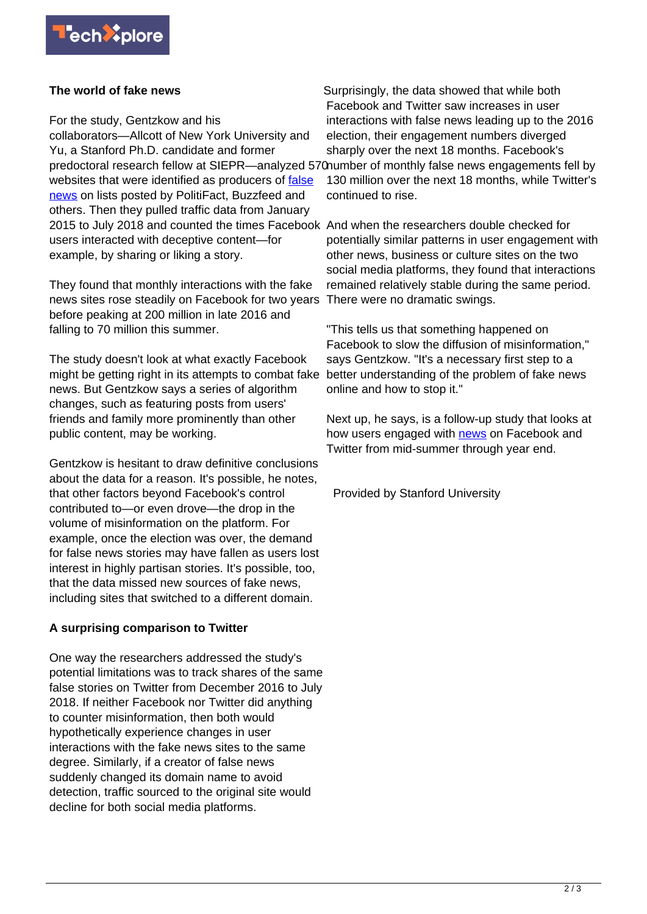

## **The world of fake news**

For the study, Gentzkow and his collaborators—Allcott of New York University and Yu, a Stanford Ph.D. candidate and former predoctoral research fellow at SIEPR—analyzed 570number of monthly false news engagements fell by websites that were identified as producers of [false](https://techxplore.com/tags/false+news/) [news](https://techxplore.com/tags/false+news/) on lists posted by PolitiFact, Buzzfeed and others. Then they pulled traffic data from January 2015 to July 2018 and counted the times Facebook And when the researchers double checked for users interacted with deceptive content—for example, by sharing or liking a story.

They found that monthly interactions with the fake news sites rose steadily on Facebook for two years before peaking at 200 million in late 2016 and falling to 70 million this summer.

The study doesn't look at what exactly Facebook might be getting right in its attempts to combat fake news. But Gentzkow says a series of algorithm changes, such as featuring posts from users' friends and family more prominently than other public content, may be working.

Gentzkow is hesitant to draw definitive conclusions about the data for a reason. It's possible, he notes, that other factors beyond Facebook's control contributed to—or even drove—the drop in the volume of misinformation on the platform. For example, once the election was over, the demand for false news stories may have fallen as users lost interest in highly partisan stories. It's possible, too, that the data missed new sources of fake news, including sites that switched to a different domain.

## **A surprising comparison to Twitter**

One way the researchers addressed the study's potential limitations was to track shares of the same false stories on Twitter from December 2016 to July 2018. If neither Facebook nor Twitter did anything to counter misinformation, then both would hypothetically experience changes in user interactions with the fake news sites to the same degree. Similarly, if a creator of false news suddenly changed its domain name to avoid detection, traffic sourced to the original site would decline for both social media platforms.

Surprisingly, the data showed that while both Facebook and Twitter saw increases in user interactions with false news leading up to the 2016 election, their engagement numbers diverged sharply over the next 18 months. Facebook's 130 million over the next 18 months, while Twitter's continued to rise.

potentially similar patterns in user engagement with other news, business or culture sites on the two social media platforms, they found that interactions remained relatively stable during the same period. There were no dramatic swings.

"This tells us that something happened on Facebook to slow the diffusion of misinformation," says Gentzkow. "It's a necessary first step to a better understanding of the problem of fake news online and how to stop it."

Next up, he says, is a follow-up study that looks at how users engaged with [news](https://techxplore.com/tags/news/) on Facebook and Twitter from mid-summer through year end.

Provided by Stanford University